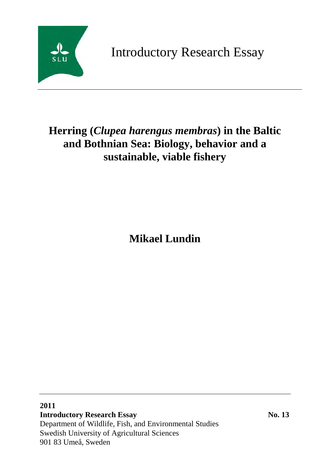

Introductory Research Essay

# **Herring (***Clupea harengus membras***) in the Baltic and Bothnian Sea: Biology, behavior and a sustainable, viable fishery**

**Mikael Lundin**

## **2011 Introductory Research Essay No. 13**

Department of Wildlife, Fish, and Environmental Studies Swedish University of Agricultural Sciences 901 83 Umeå, Sweden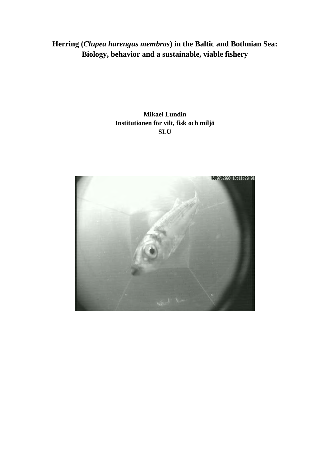# **Herring (***Clupea harengus membras***) in the Baltic and Bothnian Sea: Biology, behavior and a sustainable, viable fishery**

### **Mikael Lundin Institutionen för vilt, fisk och miljö SLU**

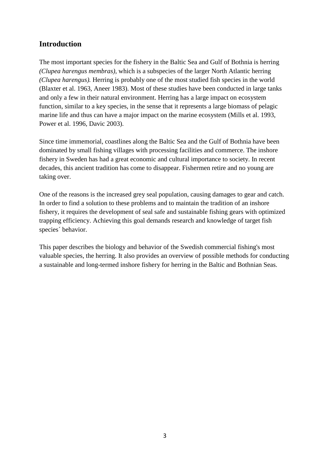### **Introduction**

The most important species for the fishery in the Baltic Sea and Gulf of Bothnia is herring *(Clupea harengus membras)*, which is a subspecies of the larger North Atlantic herring *(Clupea harengus).* Herring is probably one of the most studied fish species in the world (Blaxter et al. 1963, Aneer 1983). Most of these studies have been conducted in large tanks and only a few in their natural environment. Herring has a large impact on ecosystem function, similar to a key species, in the sense that it represents a large biomass of pelagic marine life and thus can have a major impact on the marine ecosystem (Mills et al. 1993, Power et al. 1996, Davic 2003).

Since time immemorial, coastlines along the Baltic Sea and the Gulf of Bothnia have been dominated by small fishing villages with processing facilities and commerce. The inshore fishery in Sweden has had a great economic and cultural importance to society. In recent decades, this ancient tradition has come to disappear. Fishermen retire and no young are taking over.

One of the reasons is the increased grey seal population, causing damages to gear and catch. In order to find a solution to these problems and to maintain the tradition of an inshore fishery, it requires the development of seal safe and sustainable fishing gears with optimized trapping efficiency. Achieving this goal demands research and knowledge of target fish species´ behavior.

This paper describes the biology and behavior of the Swedish commercial fishing's most valuable species, the herring. It also provides an overview of possible methods for conducting a sustainable and long-termed inshore fishery for herring in the Baltic and Bothnian Seas.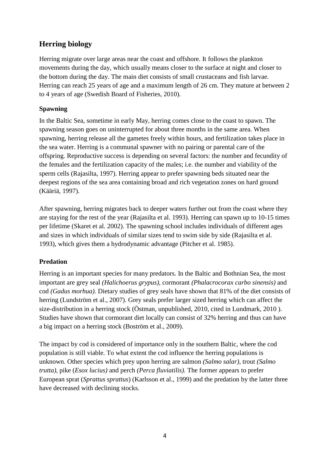### **Herring biology**

Herring migrate over large areas near the coast and offshore. It follows the plankton movements during the day, which usually means closer to the surface at night and closer to the bottom during the day. The main diet consists of small crustaceans and fish larvae. Herring can reach 25 years of age and a maximum length of 26 cm. They mature at between 2 to 4 years of age (Swedish Board of Fisheries, 2010).

### **Spawning**

In the Baltic Sea, sometime in early May, herring comes close to the coast to spawn. The spawning season goes on uninterrupted for about three months in the same area. When spawning, herring release all the gametes freely within hours, and fertilization takes place in the sea water. Herring is a communal spawner with no pairing or parental care of the offspring. Reproductive success is depending on several factors: the number and fecundity of the females and the fertilization capacity of the males; i.e. the number and viability of the sperm cells (Rajasilta, 1997). Herring appear to prefer spawning beds situated near the deepest regions of the sea area containing broad and rich vegetation zones on hard ground (Kääriä, 1997).

After spawning, herring migrates back to deeper waters further out from the coast where they are staying for the rest of the year (Rajasilta et al. 1993). Herring can spawn up to 10-15 times per lifetime (Skaret et al. 2002). The spawning school includes individuals of different ages and sizes in which individuals of similar sizes tend to swim side by side (Rajasilta et al. 1993), which gives them a hydrodynamic advantage (Pitcher et al. 1985).

### **Predation**

Herring is an important species for many predators. In the Baltic and Bothnian Sea, the most important are grey seal *(Halichoerus grypus),* cormorant *(Phalacrocorax carbo sinensis)* and cod *(Gadus morhua).* Dietary studies of grey seals have shown that 81% of the diet consists of herring (Lundström et al., 2007). Grey seals prefer larger sized herring which can affect the size-distribution in a herring stock (Östman, unpublished, 2010, cited in Lundmark, 2010 ). Studies have shown that cormorant diet locally can consist of 32% herring and thus can have a big impact on a herring stock (Boström et al., 2009).

The impact by cod is considered of importance only in the southern Baltic, where the cod population is still viable. To what extent the cod influence the herring populations is unknown. Other species which prey upon herring are salmon *(Salmo salar)*, trout *(Salmo trutta)*, pike (*Esox lucius)* and perch *(Perca fluviatilis).* The former appears to prefer European sprat (*Sprattus sprattus*) (Karlsson et al., 1999) and the predation by the latter three have decreased with declining stocks.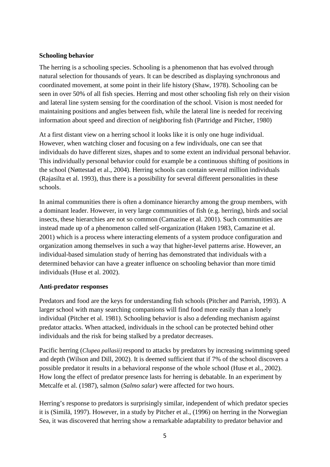#### **Schooling behavior**

The herring is a schooling species. Schooling is a phenomenon that has evolved through natural selection for thousands of years. It can be described as displaying synchronous and coordinated movement, at some point in their life history (Shaw, 1978). Schooling can be seen in over 50% of all fish species. Herring and most other schooling fish rely on their vision and lateral line system sensing for the coordination of the school. Vision is most needed for maintaining positions and angles between fish, while the lateral line is needed for receiving information about speed and direction of neighboring fish (Partridge and Pitcher, 1980)

At a first distant view on a herring school it looks like it is only one huge individual. However, when watching closer and focusing on a few individuals, one can see that individuals do have different sizes, shapes and to some extent an individual personal behavior. This individually personal behavior could for example be a continuous shifting of positions in the school (Nøttestad et al., 2004). Herring schools can contain several million individuals (Rajasilta et al. 1993), thus there is a possibility for several different personalities in these schools.

In animal communities there is often a dominance hierarchy among the group members, with a dominant leader. However, in very large communities of fish (e.g. herring), birds and social insects, these hierarchies are not so common (Camazine et al. 2001). Such communities are instead made up of a phenomenon called self-organization (Haken 1983, Camazine et al. 2001) which is a process where interacting elements of a system produce configuration and organization among themselves in such a way that higher-level patterns arise. However, an individual-based simulation study of herring has demonstrated that individuals with a determined behavior can have a greater influence on schooling behavior than more timid individuals (Huse et al. 2002).

#### **Anti-predator responses**

Predators and food are the keys for understanding fish schools (Pitcher and Parrish, 1993). A larger school with many searching companions will find food more easily than a lonely individual (Pitcher et al. 1981). Schooling behavior is also a defending mechanism against predator attacks. When attacked, individuals in the school can be protected behind other individuals and the risk for being stalked by a predator decreases.

Pacific herring (*Clupea pallasii)* respond to attacks by predators by increasing swimming speed and depth (Wilson and Dill, 2002). It is deemed sufficient that if 7% of the school discovers a possible predator it results in a behavioral response of the whole school (Huse et al., 2002). How long the effect of predator presence lasts for herring is debatable. In an experiment by Metcalfe et al. (1987), salmon (*Salmo salar*) were affected for two hours.

Herring's response to predators is surprisingly similar, independent of which predator species it is (Similä, 1997). However, in a study by Pitcher et al., (1996) on herring in the Norwegian Sea, it was discovered that herring show a remarkable adaptability to predator behavior and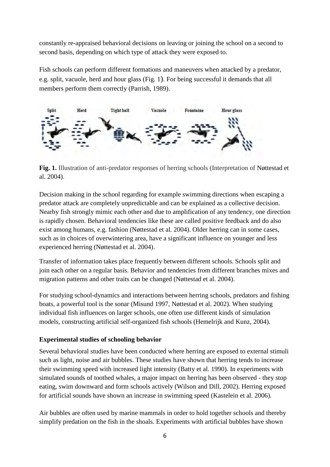constantly re-appraised behavioral decisions on leaving or joining the school on a second to second basis, depending on which type of attack they were exposed to.

Fish schools can perform different formations and maneuvers when attacked by a predator, e.g. split, vacuole, herd and hour glass (Fig. 1). For being successful it demands that all members perform them correctly (Parrish, 1989).



**Fig. 1.** Illustration of anti-predator responses of herring schools (Interpretation of Nøttestad et al. 2004).

Decision making in the school regarding for example swimming directions when escaping a predator attack are completely unpredictable and can be explained as a collective decision. Nearby fish strongly mimic each other and due to amplification of any tendency, one direction is rapidly chosen. Behavioral tendencies like these are called positive feedback and do also exist among humans, e.g. fashion (Nøttestad et al. 2004). Older herring can in some cases, such as in choices of overwintering area, have a significant influence on younger and less experienced herring (Nøttestad et al. 2004).

Transfer of information takes place frequently between different schools. Schools split and join each other on a regular basis. Behavior and tendencies from different branches mixes and migration patterns and other traits can be changed (Nøttestad et al. 2004).

For studying school-dynamics and interactions between herring schools, predators and fishing boats, a powerful tool is the sonar (Misund 1997, Nøttestad et al. 2002). When studying individual fish influences on larger schools, one often use different kinds of simulation models, constructing artificial self-organized fish schools (Hemelrijk and Kunz, 2004).

### **Experimental studies of schooling behavior**

Several behavioral studies have been conducted where herring are exposed to external stimuli such as light, noise and air bubbles. These studies have shown that herring tends to increase their swimming speed with increased light intensity (Batty et al. 1990). In experiments with simulated sounds of toothed whales, a major impact on herring has been observed - they stop eating, swim downward and form schools actively (Wilson and Dill, 2002). Herring exposed for artificial sounds have shown an increase in swimming speed (Kastelein et al. 2006).

Air bubbles are often used by marine mammals in order to hold together schools and thereby simplify predation on the fish in the shoals. Experiments with artificial bubbles have shown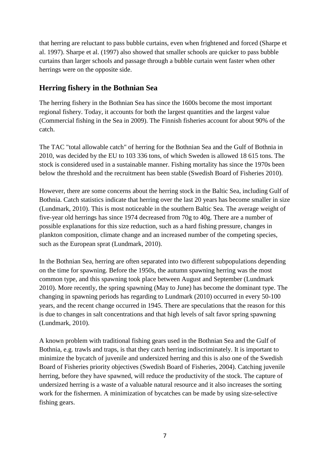that herring are reluctant to pass bubble curtains, even when frightened and forced (Sharpe et al. 1997). Sharpe et al. (1997) also showed that smaller schools are quicker to pass bubble curtains than larger schools and passage through a bubble curtain went faster when other herrings were on the opposite side.

### **Herring fishery in the Bothnian Sea**

The herring fishery in the Bothnian Sea has since the 1600s become the most important regional fishery. Today, it accounts for both the largest quantities and the largest value (Commercial fishing in the Sea in 2009). The Finnish fisheries account for about 90% of the catch.

The TAC "total allowable catch" of herring for the Bothnian Sea and the Gulf of Bothnia in 2010, was decided by the EU to 103 336 tons, of which Sweden is allowed 18 615 tons. The stock is considered used in a sustainable manner. Fishing mortality has since the 1970s been below the threshold and the recruitment has been stable (Swedish Board of Fisheries 2010).

However, there are some concerns about the herring stock in the Baltic Sea, including Gulf of Bothnia. Catch statistics indicate that herring over the last 20 years has become smaller in size (Lundmark, 2010). This is most noticeable in the southern Baltic Sea. The average weight of five-year old herrings has since 1974 decreased from 70g to 40g. There are a number of possible explanations for this size reduction, such as a hard fishing pressure, changes in plankton composition, climate change and an increased number of the competing species, such as the European sprat (Lundmark, 2010).

In the Bothnian Sea, herring are often separated into two different subpopulations depending on the time for spawning. Before the 1950s, the autumn spawning herring was the most common type, and this spawning took place between August and September (Lundmark 2010). More recently, the spring spawning (May to June) has become the dominant type. The changing in spawning periods has regarding to Lundmark (2010) occurred in every 50-100 years, and the recent change occurred in 1945. There are speculations that the reason for this is due to changes in salt concentrations and that high levels of salt favor spring spawning (Lundmark, 2010).

A known problem with traditional fishing gears used in the Bothnian Sea and the Gulf of Bothnia, e.g. trawls and traps, is that they catch herring indiscriminately. It is important to minimize the bycatch of juvenile and undersized herring and this is also one of the Swedish Board of Fisheries priority objectives (Swedish Board of Fisheries, 2004). Catching juvenile herring, before they have spawned, will reduce the productivity of the stock. The capture of undersized herring is a waste of a valuable natural resource and it also increases the sorting work for the fishermen. A minimization of bycatches can be made by using size-selective fishing gears.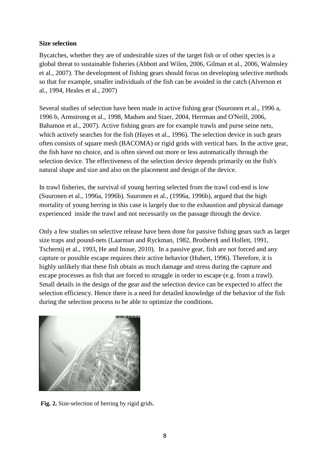### **Size selection**

Bycatches, whether they are of undesirable sizes of the target fish or of other species is a global threat to sustainable fisheries (Abbott and Wilen, 2006, Gilman et al., 2006, Walmsley et al., 2007). The development of fishing gears should focus on developing selective methods so that for example, smaller individuals of the fish can be avoided in the catch (Alverson et al., 1994, Heales et al., 2007)

Several studies of selection have been made in active fishing gear (Suuronen et al., 1996 a, 1996 b, Armstrong et al., 1998, Madsen and Staer, 2004, Herrman and O'Neill, 2006, Bahamon et al., 2007). Active fishing gears are for example trawls and purse seine nets, which actively searches for the fish (Hayes et al., 1996). The selection device in such gears often consists of square mesh (BACOMA) or rigid grids with vertical bars. In the active gear, the fish have no choice, and is often sieved out more or less automatically through the selection device. The effectiveness of the selection device depends primarily on the fish's natural shape and size and also on the placement and design of the device.

In trawl fisheries, the survival of young herring selected from the trawl cod-end is low (Suuronen et al., 1996a, 1996b). Suuronen et al., (1996a, 1996b), argued that the high mortality of young herring in this case is largely due to the exhaustion and physical damage experienced inside the trawl and not necessarily on the passage through the device.

Only a few studies on selective release have been done for passive fishing gears such as larger size traps and pound-nets (Laarman and Ryckman, 1982, Brothers§ and Hollett, 1991, Tschernij et al., 1993, He and Inoue, 2010). In a passive gear, fish are not forced and any capture or possible escape requires their active behavior (Hubert, 1996). Therefore, it is highly unlikely that these fish obtain as much damage and stress during the capture and escape processes as fish that are forced to struggle in order to escape (e.g. from a trawl). Small details in the design of the gear and the selection device can be expected to affect the selection efficiency. Hence there is a need for detailed knowledge of the behavior of the fish during the selection process to be able to optimize the conditions.



Fig. 2. Size-selection of herring by rigid grids.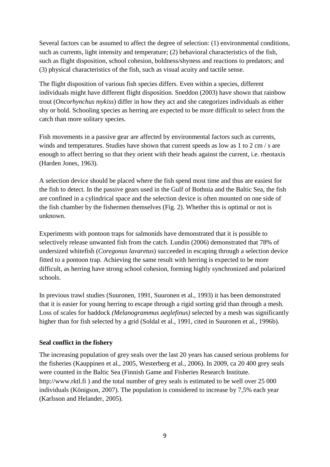Several factors can be assumed to affect the degree of selection: (1) environmental conditions, such as currents, light intensity and temperature; (2) behavioral characteristics of the fish, such as flight disposition, school cohesion, boldness/shyness and reactions to predators; and (3) physical characteristics of the fish, such as visual acuity and tactile sense.

The flight disposition of various fish species differs. Even within a species, different individuals might have different flight disposition. Sneddon (2003) have shown that rainbow trout (*Oncorhynchus mykiss*) differ in how they act and she categorizes individuals as either shy or bold. Schooling species as herring are expected to be more difficult to select from the catch than more solitary species.

Fish movements in a passive gear are affected by environmental factors such as currents, winds and temperatures. Studies have shown that current speeds as low as 1 to 2 cm / s are enough to affect herring so that they orient with their heads against the current, i.e. rheotaxis (Harden Jones, 1963).

A selection device should be placed where the fish spend most time and thus are easiest for the fish to detect. In the passive gears used in the Gulf of Bothnia and the Baltic Sea, the fish are confined in a cylindrical space and the selection device is often mounted on one side of the fish chamber by the fishermen themselves (Fig. 2). Whether this is optimal or not is unknown.

Experiments with pontoon traps for salmonids have demonstrated that it is possible to selectively release unwanted fish from the catch. Lundin (2006) demonstrated that 78% of undersized whitefish (*Coregonus lavaretus*) succeeded in escaping through a selection device fitted to a pontoon trap. Achieving the same result with herring is expected to be more difficult, as herring have strong school cohesion, forming highly synchronized and polarized schools.

In previous trawl studies (Suuronen, 1991, Suuronen et al., 1993) it has been demonstrated that it is easier for young herring to escape through a rigid sorting grid than through a mesh. Loss of scales for haddock *(Melanogrammus aeglefinus)* selected by a mesh was significantly higher than for fish selected by a grid (Soldal et al., 1991, cited in Suuronen et al., 1996b).

### **Seal conflict in the fishery**

The increasing population of grey seals over the last 20 years has caused serious problems for the fisheries (Kauppinen et al., 2005, Westerberg et al., 2006). In 2009, ca 20 400 grey seals were counted in the Baltic Sea (Finnish Game and Fisheries Research Institute. http://www.rktl.fi ) and the total number of grey seals is estimated to be well over 25 000 individuals (Königson, 2007). The population is considered to increase by 7,5% each year (Karlsson and Helander, 2005).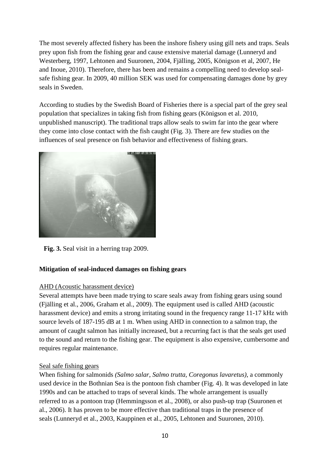The most severely affected fishery has been the inshore fishery using gill nets and traps. Seals prey upon fish from the fishing gear and cause extensive material damage (Lunneryd and Westerberg, 1997, Lehtonen and Suuronen, 2004, Fjälling, 2005, Königson et al, 2007, He and Inoue, 2010). Therefore, there has been and remains a compelling need to develop sealsafe fishing gear. In 2009, 40 million SEK was used for compensating damages done by grey seals in Sweden.

According to studies by the Swedish Board of Fisheries there is a special part of the grey seal population that specializes in taking fish from fishing gears (Königson et al. 2010, unpublished manuscript). The traditional traps allow seals to swim far into the gear where they come into close contact with the fish caught (Fig. 3). There are few studies on the influences of seal presence on fish behavior and effectiveness of fishing gears.



**Fig. 3.** Seal visit in a herring trap 2009.

### **Mitigation of seal-induced damages on fishing gears**

### AHD (Acoustic harassment device)

Several attempts have been made trying to scare seals away from fishing gears using sound (Fjälling et al., 2006, Graham et al., 2009). The equipment used is called AHD (acoustic harassment device) and emits a strong irritating sound in the frequency range 11-17 kHz with source levels of 187-195 dB at 1 m. When using AHD in connection to a salmon trap, the amount of caught salmon has initially increased, but a recurring fact is that the seals get used to the sound and return to the fishing gear. The equipment is also expensive, cumbersome and requires regular maintenance.

### Seal safe fishing gears

When fishing for salmonids *(Salmo salar, Salmo trutta, Coregonus lavaretus)*, a commonly used device in the Bothnian Sea is the pontoon fish chamber (Fig. 4). It was developed in late 1990s and can be attached to traps of several kinds. The whole arrangement is usually referred to as a pontoon trap (Hemmingsson et al., 2008), or also push-up trap (Suuronen et al., 2006). It has proven to be more effective than traditional traps in the presence of seals (Lunneryd et al., 2003, Kauppinen et al., 2005, Lehtonen and Suuronen, 2010).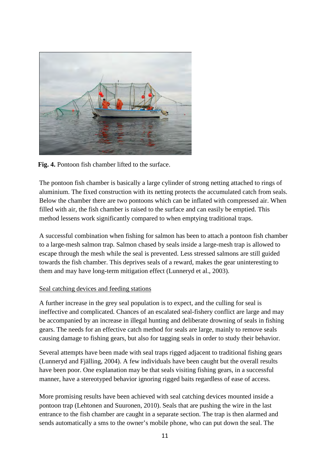

**Fig. 4.** Pontoon fish chamber lifted to the surface.

The pontoon fish chamber is basically a large cylinder of strong netting attached to rings of aluminium. The fixed construction with its netting protects the accumulated catch from seals. Below the chamber there are two pontoons which can be inflated with compressed air. When filled with air, the fish chamber is raised to the surface and can easily be emptied. This method lessens work significantly compared to when emptying traditional traps.

A successful combination when fishing for salmon has been to attach a pontoon fish chamber to a large-mesh salmon trap. Salmon chased by seals inside a large-mesh trap is allowed to escape through the mesh while the seal is prevented. Less stressed salmons are still guided towards the fish chamber. This deprives seals of a reward, makes the gear uninteresting to them and may have long-term mitigation effect (Lunneryd et al., 2003).

### Seal catching devices and feeding stations

A further increase in the grey seal population is to expect, and the culling for seal is ineffective and complicated. Chances of an escalated seal-fishery conflict are large and may be accompanied by an increase in illegal hunting and deliberate drowning of seals in fishing gears. The needs for an effective catch method for seals are large, mainly to remove seals causing damage to fishing gears, but also for tagging seals in order to study their behavior.

Several attempts have been made with seal traps rigged adjacent to traditional fishing gears (Lunneryd and Fjälling, 2004). A few individuals have been caught but the overall results have been poor. One explanation may be that seals visiting fishing gears, in a successful manner, have a stereotyped behavior ignoring rigged baits regardless of ease of access.

More promising results have been achieved with seal catching devices mounted inside a pontoon trap (Lehtonen and Suuronen, 2010). Seals that are pushing the wire in the last entrance to the fish chamber are caught in a separate section. The trap is then alarmed and sends automatically a sms to the owner's mobile phone, who can put down the seal. The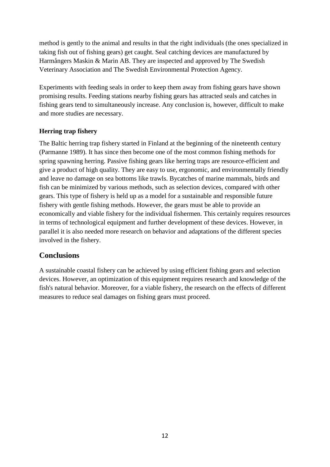method is gently to the animal and results in that the right individuals (the ones specialized in taking fish out of fishing gears) get caught. Seal catching devices are manufactured by Harmångers Maskin & Marin AB. They are inspected and approved by The Swedish Veterinary Association and The Swedish Environmental Protection Agency.

Experiments with feeding seals in order to keep them away from fishing gears have shown promising results. Feeding stations nearby fishing gears has attracted seals and catches in fishing gears tend to simultaneously increase. Any conclusion is, however, difficult to make and more studies are necessary.

### **Herring trap fishery**

The Baltic herring trap fishery started in Finland at the beginning of the nineteenth century (Parmanne 1989). It has since then become one of the most common fishing methods for spring spawning herring. Passive fishing gears like herring traps are resource-efficient and give a product of high quality. They are easy to use, ergonomic, and environmentally friendly and leave no damage on sea bottoms like trawls. Bycatches of marine mammals, birds and fish can be minimized by various methods, such as selection devices, compared with other gears. This type of fishery is held up as a model for a sustainable and responsible future fishery with gentle fishing methods. However, the gears must be able to provide an economically and viable fishery for the individual fishermen. This certainly requires resources in terms of technological equipment and further development of these devices. However, in parallel it is also needed more research on behavior and adaptations of the different species involved in the fishery.

### **Conclusions**

A sustainable coastal fishery can be achieved by using efficient fishing gears and selection devices. However, an optimization of this equipment requires research and knowledge of the fish's natural behavior. Moreover, for a viable fishery, the research on the effects of different measures to reduce seal damages on fishing gears must proceed.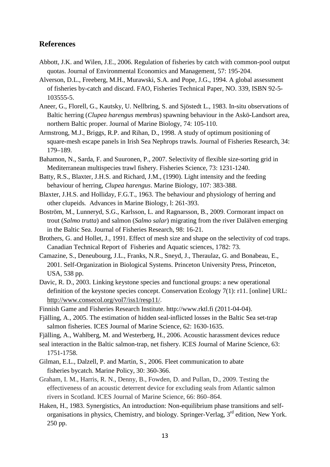### **References**

- Abbott, J.K. and Wilen, J.E., 2006. Regulation of fisheries by catch with common-pool output quotas. [Journal of Environmental Economics and Management,](http://www.sciencedirect.com.proxy.lnu.se/science/journal/00950696) 57: 195-204.
- Alverson, D.L., Freeberg, M.H., Murawski, S.A. and Pope, J.G., 1994. A global assessment of fisheries by-catch and discard. FAO, Fisheries Technical Paper, NO. 339, ISBN 92-5- 103555-5.
- Aneer, G., Florell, G., Kautsky, U. Nellbring, S. and Sjöstedt L., 1983. In-situ observations of Baltic herring (*Clupea harengus membras*) spawning behaviour in the Askö-Landsort area, northern Baltic proper. Journal of Marine Biology, 74: 105-110.
- Armstrong, M.J., Briggs, R.P. and Rihan, D., 1998. A study of optimum positioning of square-mesh escape panels in Irish Sea Nephrops trawls. Journal of Fisheries Research, 34: 179–189.
- Bahamon, N., Sarda, F. and Suuronen, P., 2007. Selectivity of flexible size-sorting grid in Mediterranean multispecies trawl fishery. Fisheries Science, 73: 1231-1240.
- Batty, R.S., Blaxter, J.H.S. and Richard, J.M., (1990). Light intensity and the feeding behaviour of herring, *Clupea harengus*. Marine Biology, 107: 383-388.
- Blaxter, J.H.S. and Holliday, F.G.T., 1963. The behaviour and physiology of herring and other clupeids*.* Advances in Marine Biology, l: 261-393.
- Boström, M., Lunneryd, S.G., Karlsson, L. and Ragnarsson, B., 2009. Cormorant impact on trout (*Salmo trutta*) and salmon (*Salmo salar*) migrating from the river Dalälven emerging in the Baltic Sea. Journal of Fisheries Research, 98: 16-21.
- Brothers, G. and Hollet, J., 1991. Effect of mesh size and shape on the selectivity of cod traps. Canadian Technical Report of Fisheries and Aquatic sciences, 1782: 73.
- Camazine, S., Deneubourg, J.L., Franks, N.R., Sneyd, J., Theraulaz, G. and Bonabeau, E., 2001. Self-Organization in Biological Systems. Princeton University Press, Princeton, USA, 538 pp.
- Davic, R. D., 2003. Linking keystone species and functional groups: a new operational definition of the keystone species concept. Conservation Ecology 7(1): r11. [online] URL: <http://www.consecol.org/vol7/iss1/resp11/>.
- Finnish Game and Fisheries Research Institute. http://www.rktl.fi (2011-04-04).
- Fjälling, A., 2005. The estimation of hidden seal-inflicted losses in the Baltic Sea set-trap salmon fisheries. ICES Journal of Marine Science, 62: 1630-1635.
- Fjälling, A., Wahlberg, M. and Westerberg, H., 2006. Acoustic harassment devices reduce
- seal interaction in the Baltic salmon-trap, net fishery. ICES Journal of Marine Science, 63: 1751-1758.
- Gilman, E.L., Dalzell, P. and Martin, S., 2006. Fleet communication to abate fisheries bycatch. Marine Policy, 30: 360-366.
- Graham, I. M., Harris, R. N., Denny, B., Fowden, D. and Pullan, D., 2009. Testing the effectiveness of an acoustic deterrent device for excluding seals from Atlantic salmon rivers in Scotland. ICES Journal of Marine Science, 66: 860–864.
- Haken, H., 1983. Synergistics, An introduction: Non-equilibrium phase transitions and selforganisations in physics, Chemistry, and biology. Springer-Verlag, 3<sup>rd</sup> edition, New York. 250 pp.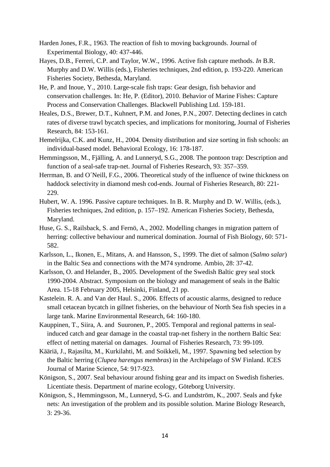- Harden Jones, F.R., 1963. The reaction of fish to moving backgrounds. Journal of Experimental Biology, 40: 437-446.
- Hayes, D.B., Ferreri, C.P. and Taylor, W.W., 1996. Active fish capture methods. *In* B.R. Murphy and D.W. Willis (eds.), Fisheries techniques, 2nd edition, p. 193-220. American Fisheries Society, Bethesda, Maryland.
- He, P. and Inoue, Y., 2010. Large-scale fish traps: Gear design, fish behavior and conservation challenges. In: He, P. (Editor), 2010. Behavior of Marine Fishes: Capture Process and Conservation Challenges. Blackwell Publishing Ltd. 159-181.
- Heales, D.S., Brewer, D.T., Kuhnert, P.M. and Jones, P.N., 2007. Detecting declines in catch rates of diverse trawl bycatch species, and implications for monitoring, Journal of Fisheries Research, 84: 153-161.
- Hemelrijka, C.K. and Kunz, H., 2004. Density distribution and size sorting in fish schools: an individual-based model. Behavioral Ecology, 16: 178-187.
- Hemmingsson, M., Fjälling, A. and Lunneryd, S.G., 2008. The pontoon trap: Description and function of a seal-safe trap-net. Journal of Fisheries Research, 93: 357–359.
- Herrman, B. and O´Neill, F.G., 2006. Theoretical study of the influence of twine thickness on haddock selectivity in diamond mesh cod-ends. Journal of Fisheries Research, 80: 221- 229.
- Hubert, W. A. 1996. Passive capture techniques. In B. R. Murphy and D. W. Willis, (eds.), Fisheries techniques, 2nd edition, p. 157–192. American Fisheries Society, Bethesda, Maryland.
- Huse, G. S., Railsback, S. and Fernö, A., 2002. Modelling changes in migration pattern of herring: collective behaviour and numerical domination. Journal of Fish Biology, 60: 571- 582.
- Karlsson, L., Ikonen, E., Mitans, A. and Hansson, S., 1999. The diet of salmon (*Salmo salar*) in the Baltic Sea and connections with the M74 syndrome. Ambio, 28: 37-42.
- Karlsson, O. and Helander, B., 2005. Development of the Swedish Baltic grey seal stock 1990-2004. Abstract. Symposium on the biology and management of seals in the Baltic Area. 15-18 February 2005, Helsinki, Finland, 21 pp.
- Kastelein. R. A. and Van der Haul. S., 2006. Effects of acoustic alarms, designed to reduce small cetacean bycatch in gillnet fisheries, on the behaviour of North Sea fish species in a large tank. Marine Environmental Research, 64: 160-180.
- Kauppinen, T., Siira, A. and Suuronen, P., 2005. Temporal and regional patterns in sealinduced catch and gear damage in the coastal trap-net fishery in the northern Baltic Sea: effect of netting material on damages. Journal of Fisheries Research, 73: 99-109.
- Kääriä, J., Rajasilta, M., Kurkilahti, M. and Soikkeli, M., 1997. Spawning bed selection by the Baltic herring (*Clupea harengus membras*) in the Archipelago of SW Finland. ICES Journal of Marine Science, 54: 917-923.
- Königson, S., 2007. Seal behaviour around fishing gear and its impact on Swedish fisheries. Licentiate thesis. Department of marine ecology, Göteborg University.
- Königson, S., Hemmingsson, M., Lunneryd, S-G. and Lundström, K., 2007. Seals and fyke nets: An investigation of the problem and its possible solution. Marine Biology Research, 3: 29-36.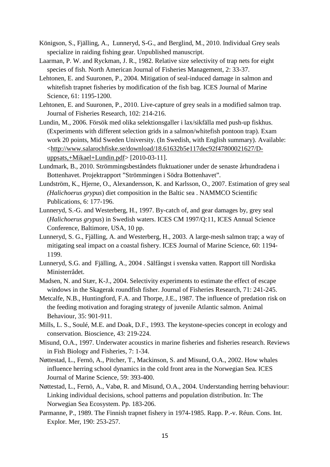- Königson, S., Fjälling, A., Lunneryd, S-G., and Berglind, M., 2010. Individual Grey seals specialize in raiding fishing gear. Unpublished manuscript.
- Laarman, P. W. and Ryckman, J. R., 1982. Relative size selectivity of trap nets for eight species of fish. North American Journal of Fisheries Management, 2: 33-37.
- Lehtonen, E. and Suuronen, P., 2004. Mitigation of seal-induced damage in salmon and whitefish trapnet fisheries by modification of the fish bag. ICES Journal of Marine Science, 61: 1195-1200.
- Lehtonen, E. and Suuronen, P., 2010. Live-capture of grey seals in a modified salmon trap. Journal of Fisheries Research, 102: 214-216.
- Lundin, M., 2006. Försök med olika selektionsgaller i lax/sikfälla med push-up fiskhus. (Experiments with different selection grids in a salmon/whitefish pontoon trap). Exam work 20 points, Mid Sweden University. (In Swedish, with English summary). Available: [<http://www.salarochfiske.se/download/18.61632b5e117dec92f47800021627/D](http://www.salarochfiske.se/download/18.61632b5e117dec92f47800021627/D-uppsats,+Mikael+Lundin.pdf)[uppsats,+Mikael+Lundin.pdf>](http://www.salarochfiske.se/download/18.61632b5e117dec92f47800021627/D-uppsats,+Mikael+Lundin.pdf) [2010-03-11].
- Lundmark, B., 2010. Strömmingsbeståndets fluktuationer under de senaste århundradena i Bottenhavet. Projektrapport "Strömmingen i Södra Bottenhavet".
- Lundström, K., Hjerne, O., Alexandersson, K. and Karlsson, O., 2007. Estimation of grey seal *(Halichoerus grypus*) diet composition in the Baltic sea . NAMMCO Scientific Publications, 6: 177-196.
- Lunneryd, S.-G. and Westerberg, H., 1997. By-catch of, and gear damages by, grey seal (*Halichoerus grypus*) in Swedish waters. ICES CM 1997/Q:11, ICES Annual Science Conference, Baltimore, USA, 10 pp.
- Lunneryd, S. G., Fjälling, A. and Westerberg, H., 2003. A large-mesh salmon trap; a way of mitigating seal impact on a coastal fishery. ICES Journal of Marine Science, 60: 1194- 1199.
- Lunneryd, S.G. and Fjälling, A., 2004 . [Sälfångst i svenska vatten.](http://www.salarochfiske.se/download/18.619ef9f0108afb51e9d8000114979/Lunneryd%2C+Fjalling%2C+salfangstsvenskavatten.pdf) Rapport till Nordiska Ministerrådet.
- Madsen, N. and Stær, K-J., 2004. Selectivity experiments to estimate the effect of escape windows in the Skagerak roundfish fisher. Journal of Fisheries Research, 71: 241-245.
- Metcalfe, N.B., Huntingford, F.A. and Thorpe, J.E., 1987. The influence of predation risk on the feeding motivation and foraging strategy of juvenile Atlantic salmon. Animal Behaviour, 35: 901-911.
- Mills, L. S., Soulé, M.E. and Doak, D.F., 1993. The keystone-species concept in ecology and conservation. Bioscience, 43: 219-224.
- Misund, O.A., 1997. Underwater acoustics in marine fisheries and fisheries research. Reviews in Fish Biology and Fisheries, 7: 1-34.
- Nøttestad, L., Fernö, A., Pitcher, T., Mackinson, S. and Misund, O.A., 2002. How whales influence herring school dynamics in the cold front area in the Norwegian Sea. ICES Journal of Marine Science, 59: 393-400.
- Nøttestad, L., Fernö, A., Vabø, R. and Misund, O.A., 2004. Understanding herring behaviour: Linking individual decisions, school patterns and population distribution. In: The Norwegian Sea Ecosystem. Pp. 183-206.
- Parmanne, P., 1989. The Finnish trapnet fishery in 1974-1985. Rapp. P.-v. Réun. Cons. Int. Explor. Mer, 190: 253-257.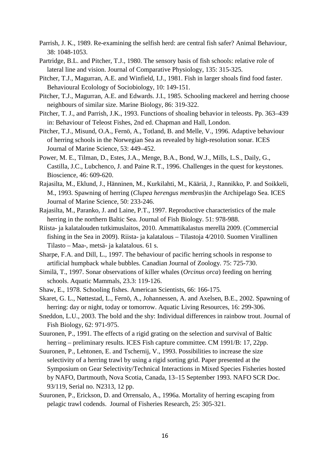- Parrish, J. K., 1989. Re-examining the selfish herd: are central fish safer? Animal Behaviour, 38: 1048-1053.
- Partridge, B.L. and Pitcher, T.J., 1980. The sensory basis of fish schools: relative role of lateral line and vision. Journal of Comparative Physiology, 135: 315-325.
- Pitcher, T.J., Magurran, A.E. and Winfield, I.J., 1981. Fish in larger shoals find food faster. Behavioural Ecolology of Sociobiology, 10: 149-151.
- Pitcher, T.J., Magurran, A.E. and Edwards. J.I., 1985. Schooling mackerel and herring choose neighbours of similar size. Marine Biology, 86: 319-322.
- Pitcher, T. J., and Parrish, J.K., 1993. Functions of shoaling behavior in teleosts. Pp. 363–439 in: Behaviour of Teleost Fishes, 2nd ed. Chapman and Hall, London.
- Pitcher, T.J., Misund, O.A., Fernö, A., Totland, B. and Melle, V., 1996. Adaptive behaviour of herring schools in the Norwegian Sea as revealed by high-resolution sonar. ICES Journal of Marine Science, 53: 449–452.
- Power, M. E., Tilman, D., Estes, J.A., Menge, B.A., Bond, W.J., Mills, L.S., Daily, G., Castilla, J.C., Lubchenco, J. and Paine R.T., 1996. Challenges in the quest for keystones. Bioscience, 46: 609-620.
- Rajasilta, M., Eklund, J., Hänninen, M., Kurkilahti, M., Kääriä, J., Rannikko, P. and Soikkeli, M., 1993. Spawning of herring (*Clupea herengus membras*)in the Archipelago Sea. ICES Journal of Marine Science, 50: 233-246.
- Rajasilta, M., Paranko, J. and Laine, P.T., 1997. Reproductive characteristics of the male herring in the northern Baltic Sea. Journal of Fish Biology. 51: 978-988.
- Riista- ja kalatalouden tutkimuslaitos, 2010. Ammattikalastus merellä 2009. (Commercial fishing in the Sea in 2009). Riista- ja kalatalous – Tilastoja 4/2010. Suomen Virallinen Tilasto – Maa-, metsä- ja kalatalous. 61 s.
- Sharpe, F.A. and Dill, L., 1997. The behaviour of pacific herring schools in response to artificial humpback whale bubbles. Canadian Journal of Zoology*.* 75: 725-730.
- Similä, T., 1997. Sonar observations of killer whales (*Orcinus orca*) feeding on herring schools. Aquatic Mammals, 23.3: 119-126.
- Shaw, E., 1978. Schooling fishes. American Scientists, 66: 166-175.
- Skaret, G. L., Nøttestad, L., Fernö, A., Johannessen, A. and Axelsen, B.E., 2002. Spawning of herring: day or night, today or tomorrow. Aquatic Living Resources, 16: 299-306.
- Sneddon, L.U., 2003. The bold and the shy: Individual differences in rainbow trout. Journal of Fish Biology, 62: 971-975.
- Suuronen, P., 1991. The effects of a rigid grating on the selection and survival of Baltic herring – preliminary results. ICES Fish capture committee. CM 1991/B: 17, 22pp.
- Suuronen, P., Lehtonen, E. and Tschernij, V., 1993. Possibilities to increase the size selectivity of a herring trawl by using a rigid sorting grid. Paper presented at the Symposium on Gear Selectivity/Technical Interactions in Mixed Species Fisheries hosted by NAFO, Dartmouth, Nova Scotia, Canada, 13–15 September 1993. NAFO SCR Doc. 93/119, Serial no. N2313, 12 pp.
- Suuronen, P., Erickson, D. and Orrensalo, A., 1996a. Mortality of herring escaping from pelagic trawl codends. Journal of Fisheries Research, 25: 305-321.